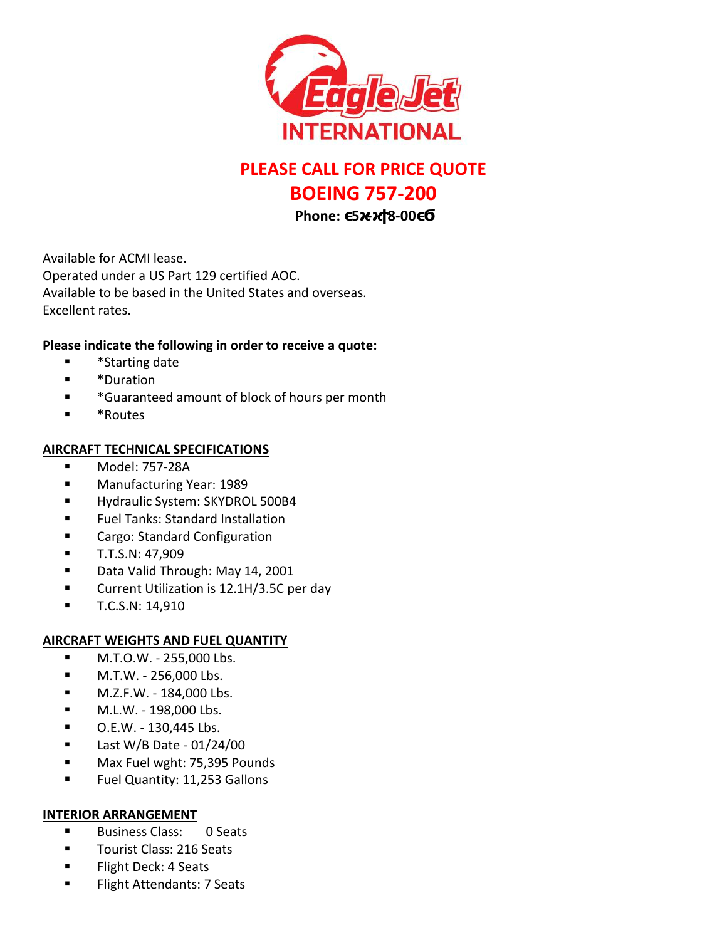

# **PLEASE CALL FOR PRICE QUOTE BOEING 757-200**

**Phone: 5 - 8-00** 

Available for ACMI lease. Operated under a US Part 129 certified AOC. Available to be based in the United States and overseas. Excellent rates.

## **Please indicate the following in order to receive a quote:**

- \*Starting date
- \*Duration
- \*Guaranteed amount of block of hours per month
- \*Routes

### **AIRCRAFT TECHNICAL SPECIFICATIONS**

- Model: 757-28A
- **Manufacturing Year: 1989**
- Hydraulic System: SKYDROL 500B4
- Fuel Tanks: Standard Installation
- Cargo: Standard Configuration
- T.T.S.N: 47,909
- **Data Valid Through: May 14, 2001**
- **Current Utilization is 12.1H/3.5C per day**
- $\blacksquare$  T.C.S.N: 14,910

#### **AIRCRAFT WEIGHTS AND FUEL QUANTITY**

- $-M.T.O.W. 255,000 Lbs.$
- $-M.T.W. 256,000 Lbs.$
- M.Z.F.W. 184,000 Lbs.
- M.L.W. 198,000 Lbs.
- O.E.W. 130,445 Lbs.
- $\blacksquare$  Last W/B Date 01/24/00
- **Max Fuel wght: 75,395 Pounds**
- **Fuel Quantity: 11,253 Gallons**

#### **INTERIOR ARRANGEMENT**

- Business Class: 0 Seats
- **Tourist Class: 216 Seats**
- **Flight Deck: 4 Seats**
- **Flight Attendants: 7 Seats**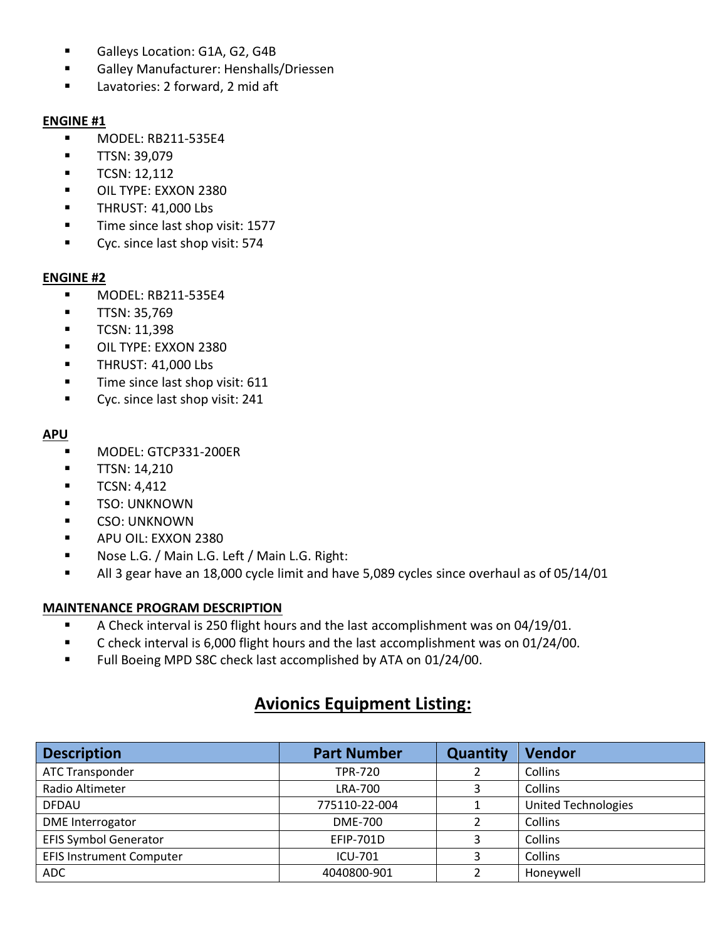- Galleys Location: G1A, G2, G4B
- Galley Manufacturer: Henshalls/Driessen
- **Lavatories: 2 forward, 2 mid aft**

#### **ENGINE #1**

- MODEL: RB211-535E4
- **TTSN: 39,079**
- $\blacksquare$  TCSN: 12,112
- **DIL TYPE: EXXON 2380**
- **THRUST: 41,000 Lbs**
- **Time since last shop visit: 1577**
- **Cyc.** since last shop visit: 574

#### **ENGINE #2**

- **MODEL: RB211-535E4**
- **TTSN: 35,769**
- $\blacksquare$  TCSN: 11,398
- **DIL TYPE: EXXON 2380**
- **THRUST: 41,000 Lbs**
- **Time since last shop visit: 611**
- **Cyc.** since last shop visit: 241

#### **APU**

- MODEL: GTCP331-200ER
- $\blacksquare$  TTSN: 14,210
- $\blacksquare$  TCSN: 4,412
- **TSO: UNKNOWN**
- **CSO: UNKNOWN**
- **APU OIL: EXXON 2380**
- Nose L.G. / Main L.G. Left / Main L.G. Right:
- All 3 gear have an 18,000 cycle limit and have 5,089 cycles since overhaul as of 05/14/01

#### **MAINTENANCE PROGRAM DESCRIPTION**

- A Check interval is 250 flight hours and the last accomplishment was on 04/19/01.
- C check interval is 6,000 flight hours and the last accomplishment was on 01/24/00.
- Full Boeing MPD S8C check last accomplished by ATA on 01/24/00.

# **Avionics Equipment Listing:**

| <b>Description</b>              | <b>Part Number</b> | <b>Quantity</b> | Vendor                     |
|---------------------------------|--------------------|-----------------|----------------------------|
| <b>ATC Transponder</b>          | <b>TPR-720</b>     |                 | Collins                    |
| Radio Altimeter                 | LRA-700            |                 | Collins                    |
| <b>DFDAU</b>                    | 775110-22-004      |                 | <b>United Technologies</b> |
| <b>DME</b> Interrogator         | <b>DME-700</b>     |                 | Collins                    |
| <b>EFIS Symbol Generator</b>    | <b>EFIP-701D</b>   |                 | Collins                    |
| <b>EFIS Instrument Computer</b> | <b>ICU-701</b>     |                 | Collins                    |
| <b>ADC</b>                      | 4040800-901        |                 | Honeywell                  |